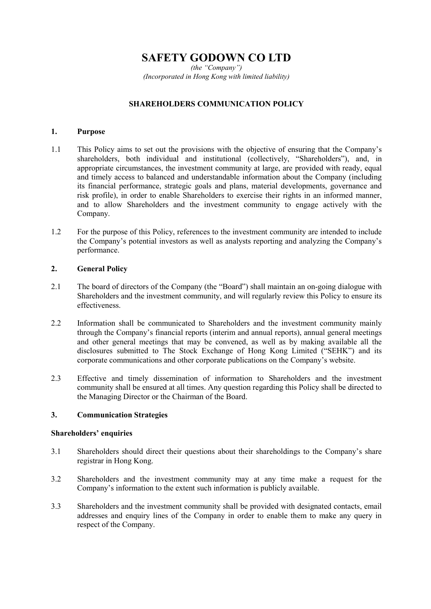# **SAFETY GODOWN CO LTD**

*(the "Company") (Incorporated in Hong Kong with limited liability)* 

## **SHAREHOLDERS COMMUNICATION POLICY**

#### **1. Purpose**

- 1.1 This Policy aims to set out the provisions with the objective of ensuring that the Company's shareholders, both individual and institutional (collectively, "Shareholders"), and, in appropriate circumstances, the investment community at large, are provided with ready, equal and timely access to balanced and understandable information about the Company (including its financial performance, strategic goals and plans, material developments, governance and risk profile), in order to enable Shareholders to exercise their rights in an informed manner, and to allow Shareholders and the investment community to engage actively with the Company.
- 1.2 For the purpose of this Policy, references to the investment community are intended to include the Company's potential investors as well as analysts reporting and analyzing the Company's performance.

### **2. General Policy**

- 2.1 The board of directors of the Company (the "Board") shall maintain an on-going dialogue with Shareholders and the investment community, and will regularly review this Policy to ensure its effectiveness.
- 2.2 Information shall be communicated to Shareholders and the investment community mainly through the Company's financial reports (interim and annual reports), annual general meetings and other general meetings that may be convened, as well as by making available all the disclosures submitted to The Stock Exchange of Hong Kong Limited ("SEHK") and its corporate communications and other corporate publications on the Company's website.
- 2.3 Effective and timely dissemination of information to Shareholders and the investment community shall be ensured at all times. Any question regarding this Policy shall be directed to the Managing Director or the Chairman of the Board.

### **3. Communication Strategies**

#### **Shareholders' enquiries**

- 3.1 Shareholders should direct their questions about their shareholdings to the Company's share registrar in Hong Kong.
- 3.2 Shareholders and the investment community may at any time make a request for the Company's information to the extent such information is publicly available.
- 3.3 Shareholders and the investment community shall be provided with designated contacts, email addresses and enquiry lines of the Company in order to enable them to make any query in respect of the Company.